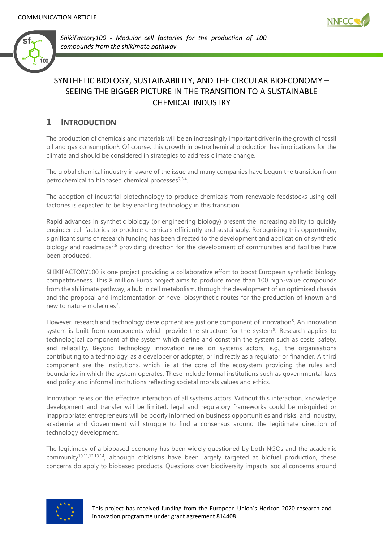



*ShikiFactory100 - Modular cell factories for the production of 100 compounds from the shikimate pathway* 

# SYNTHETIC BIOLOGY, SUSTAINABILITY, AND THE CIRCULAR BIOECONOMY – SEEING THE BIGGER PICTURE IN THE TRANSITION TO A SUSTAINABLE CHEMICAL INDUSTRY

# **1 INTRODUCTION**

The production of chemicals and materials will be an increasingly important driver in the growth of fossil oil and gas consumption<sup>1</sup>. Of course, this growth in petrochemical production has implications for the climate and should be considered in strategies to address climate change.

The global chemical industry in aware of the issue and many companies have begun the transition from petrochemical to biobased chemical processes<sup>2,3,4</sup>.

The adoption of industrial biotechnology to produce chemicals from renewable feedstocks using cell factories is expected to be key enabling technology in this transition.

Rapid advances in synthetic biology (or engineering biology) present the increasing ability to quickly engineer cell factories to produce chemicals efficiently and sustainably. Recognising this opportunity, significant sums of research funding has been directed to the development and application of synthetic biology and roadmaps<sup>5,6</sup> providing direction for the development of communities and facilities have been produced.

SHIKIFACTORY100 is one project providing a collaborative effort to boost European synthetic biology competitiveness. This 8 million Euros project aims to produce more than 100 high-value compounds from the shikimate pathway, a hub in cell metabolism, through the development of an optimized chassis and the proposal and implementation of novel biosynthetic routes for the production of known and new to nature molecules<sup>7</sup>.

However, research and technology development are just one component of innovation<sup>8</sup>. An innovation system is built from components which provide the structure for the system<sup>9</sup>. Research applies to technological component of the system which define and constrain the system such as costs, safety, and reliability. Beyond technology innovation relies on systems actors, e.g., the organisations contributing to a technology, as a developer or adopter, or indirectly as a regulator or financier. A third component are the institutions, which lie at the core of the ecosystem providing the rules and boundaries in which the system operates. These include formal institutions such as governmental laws and policy and informal institutions reflecting societal morals values and ethics.

Innovation relies on the effective interaction of all systems actors. Without this interaction, knowledge development and transfer will be limited; legal and regulatory frameworks could be misguided or inappropriate; entrepreneurs will be poorly informed on business opportunities and risks, and industry, academia and Government will struggle to find a consensus around the legitimate direction of technology development.

The legitimacy of a biobased economy has been widely questioned by both NGOs and the academic community<sup>10,11,12,13,14</sup>, although criticisms have been largely targeted at biofuel production, these concerns do apply to biobased products. Questions over biodiversity impacts, social concerns around

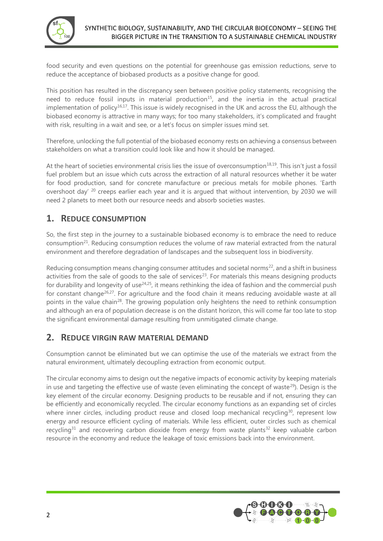

food security and even questions on the potential for greenhouse gas emission reductions, serve to reduce the acceptance of biobased products as a positive change for good.

This position has resulted in the discrepancy seen between positive policy statements, recognising the need to reduce fossil inputs in material production<sup>15</sup>, and the inertia in the actual practical implementation of policy<sup>16,17</sup>. This issue is widely recognised in the UK and across the EU, although the biobased economy is attractive in many ways; for too many stakeholders, it's complicated and fraught with risk, resulting in a wait and see, or a let's focus on simpler issues mind set.

Therefore, unlocking the full potential of the biobased economy rests on achieving a consensus between stakeholders on what a transition could look like and how it should be managed.

At the heart of societies environmental crisis lies the issue of overconsumption<sup>18,19</sup>. This isn't just a fossil fuel problem but an issue which cuts across the extraction of all natural resources whether it be water for food production, sand for concrete manufacture or precious metals for mobile phones. 'Earth overshoot day' <sup>20</sup> creeps earlier each year and it is argued that without intervention, by 2030 we will need 2 planets to meet both our resource needs and absorb societies wastes.

# **1. REDUCE CONSUMPTION**

So, the first step in the journey to a sustainable biobased economy is to embrace the need to reduce consumption<sup>21</sup>. Reducing consumption reduces the volume of raw material extracted from the natural environment and therefore degradation of landscapes and the subsequent loss in biodiversity.

Reducing consumption means changing consumer attitudes and societal norms<sup>22</sup>, and a shift in business activities from the sale of goods to the sale of services $23$ . For materials this means designing products for durability and longevity of use<sup>24,25</sup>, it means rethinking the idea of fashion and the commercial push for constant change26,27. For agriculture and the food chain it means reducing avoidable waste at all points in the value chain<sup>28</sup>. The growing population only heightens the need to rethink consumption and although an era of population decrease is on the distant horizon, this will come far too late to stop the significant environmental damage resulting from unmitigated climate change.

## **2. REDUCE VIRGIN RAW MATERIAL DEMAND**

Consumption cannot be eliminated but we can optimise the use of the materials we extract from the natural environment, ultimately decoupling extraction from economic output.

The circular economy aims to design out the negative impacts of economic activity by keeping materials in use and targeting the effective use of waste (even eliminating the concept of waste<sup>29</sup>). Design is the key element of the circular economy. Designing products to be reusable and if not, ensuring they can be efficiently and economically recycled. The circular economy functions as an expanding set of circles where inner circles, including product reuse and closed loop mechanical recycling<sup>30</sup>, represent low energy and resource efficient cycling of materials. While less efficient, outer circles such as chemical recycling<sup>31</sup> and recovering carbon dioxide from energy from waste plants<sup>32</sup> keep valuable carbon resource in the economy and reduce the leakage of toxic emissions back into the environment.

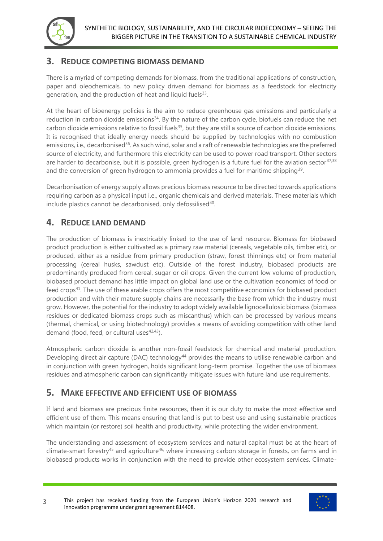

## **3. REDUCE COMPETING BIOMASS DEMAND**

There is a myriad of competing demands for biomass, from the traditional applications of construction, paper and oleochemicals, to new policy driven demand for biomass as a feedstock for electricity generation, and the production of heat and liquid fuels $^{33}$ .

At the heart of bioenergy policies is the aim to reduce greenhouse gas emissions and particularly a reduction in carbon dioxide emissions<sup>34</sup>. By the nature of the carbon cycle, biofuels can reduce the net carbon dioxide emissions relative to fossil fuels<sup>35</sup>, but they are still a source of carbon dioxide emissions. It is recognised that ideally energy needs should be supplied by technologies with no combustion emissions, i.e., decarbonised<sup>36</sup>. As such wind, solar and a raft of renewable technologies are the preferred source of electricity, and furthermore this electricity can be used to power road transport. Other sectors are harder to decarbonise, but it is possible, green hydrogen is a future fuel for the aviation sector $37,38$ and the conversion of green hydrogen to ammonia provides a fuel for maritime shipping $^{\rm 39}$ .

Decarbonisation of energy supply allows precious biomass resource to be directed towards applications requiring carbon as a physical input i.e., organic chemicals and derived materials. These materials which include plastics cannot be decarbonised, only defossilised<sup>40</sup>.

# **4. REDUCE LAND DEMAND**

The production of biomass is inextricably linked to the use of land resource. Biomass for biobased product production is either cultivated as a primary raw material (cereals, vegetable oils, timber etc), or produced, either as a residue from primary production (straw, forest thinnings etc) or from material processing (cereal husks, sawdust etc). Outside of the forest industry, biobased products are predominantly produced from cereal, sugar or oil crops. Given the current low volume of production, biobased product demand has little impact on global land use or the cultivation economics of food or feed crops<sup>41</sup>. The use of these arable crops offers the most competitive economics for biobased product production and with their mature supply chains are necessarily the base from which the industry must grow. However, the potential for the industry to adopt widely available lignocellulosic biomass (biomass residues or dedicated biomass crops such as miscanthus) which can be processed by various means (thermal, chemical, or using biotechnology) provides a means of avoiding competition with other land demand (food, feed, or cultural uses $42,43$ ).

Atmospheric carbon dioxide is another non-fossil feedstock for chemical and material production. Developing direct air capture (DAC) technology<sup>44</sup> provides the means to utilise renewable carbon and in conjunction with green hydrogen, holds significant long-term promise. Together the use of biomass residues and atmospheric carbon can significantly mitigate issues with future land use requirements.

## **5. MAKE EFFECTIVE AND EFFICIENT USE OF BIOMASS**

If land and biomass are precious finite resources, then it is our duty to make the most effective and efficient use of them. This means ensuring that land is put to best use and using sustainable practices which maintain (or restore) soil health and productivity, while protecting the wider environment.

The understanding and assessment of ecosystem services and natural capital must be at the heart of climate-smart forestry<sup>45</sup> and agriculture<sup>46,</sup> where increasing carbon storage in forests, on farms and in biobased products works in conjunction with the need to provide other ecosystem services. Climate-

<sup>3</sup> This project has received funding from the European Union's Horizon 2020 research and innovation programme under grant agreement 814408.

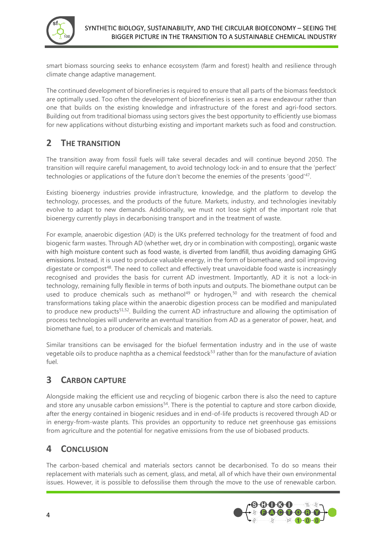

smart biomass sourcing seeks to enhance ecosystem (farm and forest) health and resilience through climate change adaptive management.

The continued development of biorefineries is required to ensure that all parts of the biomass feedstock are optimally used. Too often the development of biorefineries is seen as a new endeavour rather than one that builds on the existing knowledge and infrastructure of the forest and agri-food sectors. Building out from traditional biomass using sectors gives the best opportunity to efficiently use biomass for new applications without disturbing existing and important markets such as food and construction.

# **2 THE TRANSITION**

The transition away from fossil fuels will take several decades and will continue beyond 2050. The transition will require careful management, to avoid technology lock-in and to ensure that the 'perfect' technologies or applications of the future don't become the enemies of the presents 'good'<sup>47</sup>.

Existing bioenergy industries provide infrastructure, knowledge, and the platform to develop the technology, processes, and the products of the future. Markets, industry, and technologies inevitably evolve to adapt to new demands. Additionally, we must not lose sight of the important role that bioenergy currently plays in decarbonising transport and in the treatment of waste.

For example, anaerobic digestion (AD) is the UKs preferred technology for the treatment of food and biogenic farm wastes. Through AD (whether wet, dry or in combination with composting), organic waste with high moisture content such as food waste, is diverted from landfill, thus avoiding damaging GHG emissions. Instead, it is used to produce valuable energy, in the form of biomethane, and soil improving digestate or compost<sup>48</sup>. The need to collect and effectively treat unavoidable food waste is increasingly recognised and provides the basis for current AD investment. Importantly, AD it is not a lock-in technology, remaining fully flexible in terms of both inputs and outputs. The biomethane output can be used to produce chemicals such as methanol<sup>49</sup> or hydrogen,<sup>50</sup> and with research the chemical transformations taking place within the anaerobic digestion process can be modified and manipulated to produce new products<sup>51,52</sup>. Building the current AD infrastructure and allowing the optimisation of process technologies will underwrite an eventual transition from AD as a generator of power, heat, and biomethane fuel, to a producer of chemicals and materials.

Similar transitions can be envisaged for the biofuel fermentation industry and in the use of waste vegetable oils to produce naphtha as a chemical feedstock<sup>53</sup> rather than for the manufacture of aviation fuel.

# **3 CARBON CAPTURE**

Alongside making the efficient use and recycling of biogenic carbon there is also the need to capture and store any unusable carbon emissions<sup>54</sup>. There is the potential to capture and store carbon dioxide, after the energy contained in biogenic residues and in end-of-life products is recovered through AD or in energy-from-waste plants. This provides an opportunity to reduce net greenhouse gas emissions from agriculture and the potential for negative emissions from the use of biobased products.

# **4 CONCLUSION**

The carbon-based chemical and materials sectors cannot be decarbonised. To do so means their replacement with materials such as cement, glass, and metal, all of which have their own environmental issues. However, it is possible to defossilise them through the move to the use of renewable carbon.

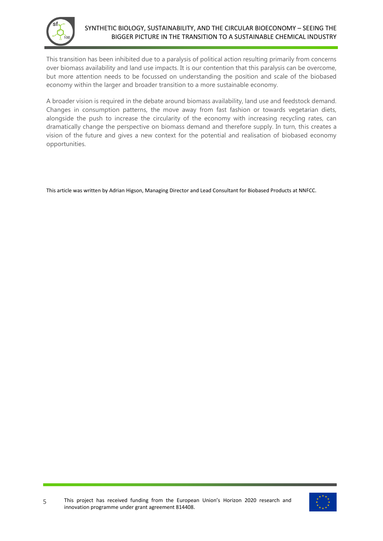

This transition has been inhibited due to a paralysis of political action resulting primarily from concerns over biomass availability and land use impacts. It is our contention that this paralysis can be overcome, but more attention needs to be focussed on understanding the position and scale of the biobased economy within the larger and broader transition to a more sustainable economy.

A broader vision is required in the debate around biomass availability, land use and feedstock demand. Changes in consumption patterns, the move away from fast fashion or towards vegetarian diets, alongside the push to increase the circularity of the economy with increasing recycling rates, can dramatically change the perspective on biomass demand and therefore supply. In turn, this creates a vision of the future and gives a new context for the potential and realisation of biobased economy opportunities.

This article was written by Adrian Higson, Managing Director and Lead Consultant for Biobased Products at NNFCC.

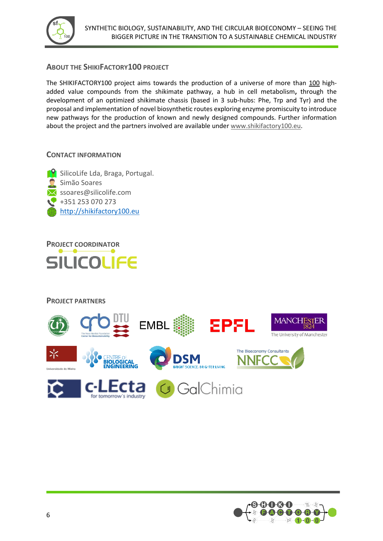

#### **ABOUT THE SHIKIFACTORY100 PROJECT**

The SHIKIFACTORY100 project aims towards the production of a universe of more than 100 highadded value compounds from the shikimate pathway, a hub in cell metabolism**,** through the development of an optimized shikimate chassis (based in 3 sub-hubs: Phe, Trp and Tyr) and the proposal and implementation of novel biosynthetic routes exploring enzyme promiscuity to introduce new pathways for the production of known and newly designed compounds. Further information about the project and the partners involved are available under [www.shikifactory100.eu.](http://www.shikifactory100.eu/)

#### **CONTACT INFORMATION**





**PROJECT PARTNERS**



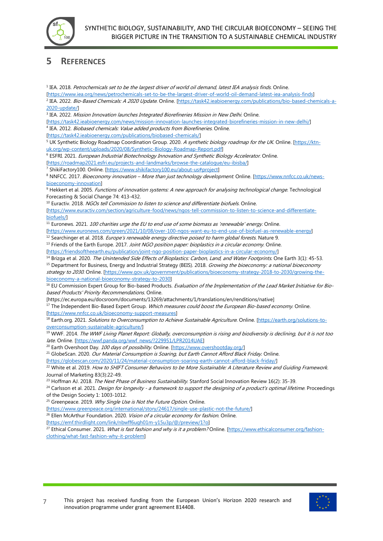

# **5 REFERENCES**

<sup>1</sup> IEA. 2018. *Petrochemicals set to be the largest driver of world oil demand, latest IEA analysis finds*. Online. [\[https://www.iea.org/news/petrochemicals-set-to-be-the-largest-driver-of-world-oil-demand-latest-iea-analysis-finds\]](https://www.iea.org/news/petrochemicals-set-to-be-the-largest-driver-of-world-oil-demand-latest-iea-analysis-finds) <sup>2</sup> IEA. 2022. *Bio-Based Chemicals: A 2020 Update*. Online. <u>[https://task42.ieabioenergy.com/publications/bio-based-chemicals-a-</u> [2020-update/\]](https://task42.ieabioenergy.com/publications/bio-based-chemicals-a-2020-update/) 3 IEA. 2022. Mission Innovation launches Integrated Biorefineries Mission in New Delhi. Online. [\[https://task42.ieabioenergy.com/news/mission-innovation-launches-integrated-biorefineries-mission-in-new-delhi/\]](https://task42.ieabioenergy.com/news/mission-innovation-launches-integrated-biorefineries-mission-in-new-delhi/) <sup>4</sup> IEA. 2012. *Biobased chemicals: Value added products from Biorefineries*. Online. [\[https://task42.ieabioenergy.com/publications/biobased-chemicals/\]](https://task42.ieabioenergy.com/publications/biobased-chemicals/) <sup>5</sup> UK Synthetic Biology Roadmap Coordination Group. 2020. A synthetic biology roadmap for the UK. Online. [\[https://ktn](https://ktn-uk.org/wp-content/uploads/2020/08/Synthetic-Biology-Roadmap-Report.pdf)[uk.org/wp-content/uploads/2020/08/Synthetic-Biology-Roadmap-Report.pdf\]](https://ktn-uk.org/wp-content/uploads/2020/08/Synthetic-Biology-Roadmap-Report.pdf) <sup>6</sup> ESFRI. 2021. European Industrial Biotechnology Innovation and Synthetic Biology Accelerator. Online. [\[https://roadmap2021.esfri.eu/projects-and-landmarks/browse-the-catalogue/eu-ibisba/\]](https://roadmap2021.esfri.eu/projects-and-landmarks/browse-the-catalogue/eu-ibisba/) <sup>7</sup> ShikiFactory100. Online. [\[https://www.shikifactory100.eu/about-us#project\]](https://www.shikifactory100.eu/about-us%23project) 8 NNFCC. 2017. Bioeconomy innovation - More than just technology development. Online. [\[https://www.nnfcc.co.uk/news](https://www.nnfcc.co.uk/news-bioeconomy-innovation)[bioeconomy-innovation\]](https://www.nnfcc.co.uk/news-bioeconomy-innovation) 9 Hekkert et al. 2005. Functions of innovation systems: A new approach for analysing technological change. Technological Forecasting & Social Change 74: 413-432. <sup>10</sup> Euractiv. 2018. NGOs tell Commission to listen to science and differentiate biofuels. Online. [\[https://www.euractiv.com/section/agriculture-food/news/ngos-tell-commission-to-listen-to-science-and-differentiate](https://www.euractiv.com/section/agriculture-food/news/ngos-tell-commission-to-listen-to-science-and-differentiate-biofuels/)[biofuels/\]](https://www.euractiv.com/section/agriculture-food/news/ngos-tell-commission-to-listen-to-science-and-differentiate-biofuels/)  $11$  Euronews. 2021. 100 charities urge the EU to end use of some biomass as 'renewable' energy. Online. [\[https://www.euronews.com/green/2021/10/08/over-100-ngos-want-eu-to-end-use-of-biofuel-as-renewable-energy\]](https://www.euronews.com/green/2021/10/08/over-100-ngos-want-eu-to-end-use-of-biofuel-as-renewable-energy)  $12$  Searchinger et al. 2018. *Europe's renewable energy directive poised to harm global forests*. Nature 9. <sup>13</sup> Friends of the Earth Europe. 2017. Joint NGO position paper: bioplastics in a circular economy. Online. [\[https://friendsoftheearth.eu/publication/joint-ngo-position-paper-bioplastics-in-a-circular-economy/\]](https://friendsoftheearth.eu/publication/joint-ngo-position-paper-bioplastics-in-a-circular-economy/) <sup>14</sup> Brizga et al. 2020. The Unintended Side Effects of Bioplastics: Carbon, Land, and Water Footprints. One Earth 3(1): 45-53. <sup>15</sup> Department for Business, Energy and Industrial Strategy (BEIS). 2018. *Growing the bioeconomy: a national bioeconomy* strategy to 2030. Online. [\[https://www.gov.uk/government/publications/bioeconomy-strategy-2018-to-2030/growing-the](https://www.gov.uk/government/publications/bioeconomy-strategy-2018-to-2030/growing-the-bioeconomy-a-national-bioeconomy-strategy-to-2030)[bioeconomy-a-national-bioeconomy-strategy-to-2030\]](https://www.gov.uk/government/publications/bioeconomy-strategy-2018-to-2030/growing-the-bioeconomy-a-national-bioeconomy-strategy-to-2030) <sup>16</sup> EU Commission Expert Group for Bio-based Products. Evaluation of the Implementation of the Lead Market Initiative for Biobased Products' Priority Recommendations. Online. [https://ec.europa.eu/docsroom/documents/13269/attachments/1/translations/en/renditions/native] <sup>17</sup> The Independent Bio-Based Expert Group. Which measures could boost the European Bio-based economy. Online. [\[https://www.nnfcc.co.uk/bioeconomy-support-measures\]](https://www.nnfcc.co.uk/bioeconomy-support-measures) 18 Earth.org. 2021. Solutions to Overconsumption to Achieve Sustainable Agriculture. Online. [\[https://earth.org/solutions-to](https://earth.org/solutions-to-overconsumption-sustainable-agriculture/)[overconsumption-sustainable-agriculture/\]](https://earth.org/solutions-to-overconsumption-sustainable-agriculture/) <sup>19</sup> WWF. 2014. The WWF Living Planet Report: Globally, overconsumption is rising and biodiversity is declining, but it is not too late. Online. [\[https://wwf.panda.org/wwf\\_news/?229951/LPR2014UAE\]](https://wwf.panda.org/wwf_news/?229951/LPR2014UAE) <sup>20</sup> Earth Overshoot Day. 100 days of possibility. Online. [\[https://www.overshootday.org/\]](https://www.overshootday.org/) <sup>21</sup> GlobeScan. 2020. Our Material Consumption is Soaring, but Earth Cannot Afford Black Friday. Online. [\[https://globescan.com/2020/11/24/material-consumption-soaring-earth-cannot-afford-black-friday/\]](https://globescan.com/2020/11/24/material-consumption-soaring-earth-cannot-afford-black-friday/) <sup>22</sup> White et al. 2019. How to SHIFT Consumer Behaviors to be More Sustainable: A Literature Review and Guiding Framework. Journal of Marketing 83(3):22-49. <sup>23</sup> Hoffman AJ. 2018. The Next Phase of Business Sustainability. Stanford Social Innovation Review 16(2): 35-39. <sup>24</sup> Carlsson et al. 2021. Design for longevity - a framework to support the designing of a product's optimal lifetime. Proceedings of the Design Society 1: 1003-1012. <sup>25</sup> Greenpeace. 2019. Why Single Use is Not the Future Option. Online. [\[https://www.greenpeace.org/international/story/24617/single-use-plastic-not-the-future/\]](https://www.greenpeace.org/international/story/24617/single-use-plastic-not-the-future/)  $26$  Ellen McArthur Foundation. 2020. Vision of a circular economy for fashion. Online. [\[https://emf.thirdlight.com/link/nbwff6ugh01m-y15u3p/@/preview/1?o\]](https://emf.thirdlight.com/link/nbwff6ugh01m-y15u3p/@/preview/1?o)

<sup>27</sup> Ethical Consumer. 2021. What is fast fashion and why is it a problem? Online. [\[https://www.ethicalconsumer.org/fashion](https://www.ethicalconsumer.org/fashion-clothing/what-fast-fashion-why-it-problem)[clothing/what-fast-fashion-why-it-problem\]](https://www.ethicalconsumer.org/fashion-clothing/what-fast-fashion-why-it-problem)

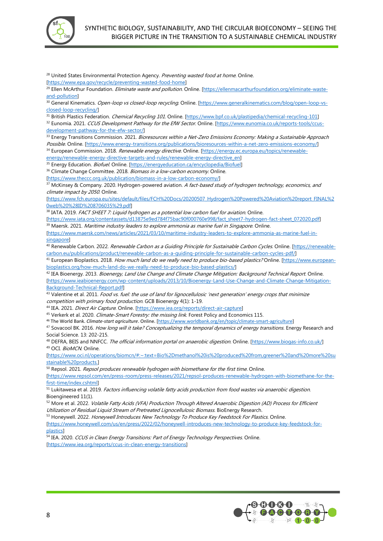

<sup>28</sup> United States Environmental Protection Agency. Preventing wasted food at home. Online. [\[https://www.epa.gov/recycle/preventing-wasted-food-home\]](https://www.epa.gov/recycle/preventing-wasted-food-home) <sup>29</sup> Ellen McArthur Foundation. *Eliminate waste and pollution*. Online. [\[https://ellenmacarthurfoundation.org/eliminate-waste](https://ellenmacarthurfoundation.org/eliminate-waste-and-pollution)[and-pollution\]](https://ellenmacarthurfoundation.org/eliminate-waste-and-pollution) 30 General Kinematics. Open-loop vs closed-loop recycling. Online. [\[https://www.generalkinematics.com/blog/open-loop-vs](https://www.generalkinematics.com/blog/open-loop-vs-closed-loop-recycling/)[closed-loop-recycling/\]](https://www.generalkinematics.com/blog/open-loop-vs-closed-loop-recycling/) 31 British Plastics Federation. Chemical Recycling 101. Online. [\[https://www.bpf.co.uk/plastipedia/chemical-recycling-101\]](https://www.bpf.co.uk/plastipedia/chemical-recycling-101) <sup>32</sup> Eunomia. 2021. CCUS Development Pathway for the EfW Sector. Online. [\[https://www.eunomia.co.uk/reports-tools/ccus](https://www.eunomia.co.uk/reports-tools/ccus-development-pathway-for-the-efw-sector/)[development-pathway-for-the-efw-sector/\]](https://www.eunomia.co.uk/reports-tools/ccus-development-pathway-for-the-efw-sector/) 33 Energy Transitions Commission. 2021. Bioresources within a Net-Zero Emissions Economy: Making a Sustainable Approach Possible. Online. [\[https://www.energy-transitions.org/publications/bioresources-within-a-net-zero-emissions-economy/\]](https://www.energy-transitions.org/publications/bioresources-within-a-net-zero-emissions-economy/) 34 European Commission. 2018. Renewable energy directive. Online. [\[https://energy.ec.europa.eu/topics/renewable](https://energy.ec.europa.eu/topics/renewable-energy/renewable-energy-directive-targets-and-rules/renewable-energy-directive_en)[energy/renewable-energy-directive-targets-and-rules/renewable-energy-directive\\_en\]](https://energy.ec.europa.eu/topics/renewable-energy/renewable-energy-directive-targets-and-rules/renewable-energy-directive_en) <sup>35</sup> Energy Education. *Biofuel*. Online. [\[https://energyeducation.ca/encyclopedia/Biofuel\]](https://energyeducation.ca/encyclopedia/Biofuel) <sup>36</sup> Climate Change Committee. 2018. Biomass in a low-carbon economy. Online. [\[https://www.theccc.org.uk/publication/biomass-in-a-low-carbon-economy/\]](https://www.theccc.org.uk/publication/biomass-in-a-low-carbon-economy/) <sup>37</sup> McKinsey & Company. 2020. Hydrogen-powered aviation. A fact-based study of hydrogen technology, economics, and climate impact by 2050. Online. [\[https://www.fch.europa.eu/sites/default/files/FCH%20Docs/20200507\\_Hydrogen%20Powered%20Aviation%20report\\_FINAL%2](https://www.fch.europa.eu/sites/default/files/FCH%20Docs/20200507_Hydrogen%20Powered%20Aviation%20report_FINAL%20web%20%28ID%208706035%29.pdf) [0web%20%28ID%208706035%29.pdf\]](https://www.fch.europa.eu/sites/default/files/FCH%20Docs/20200507_Hydrogen%20Powered%20Aviation%20report_FINAL%20web%20%28ID%208706035%29.pdf) 38 IATA. 2019. FACT SHEET 7: Liquid hydrogen as a potential low carbon fuel for aviation. Online. [\[https://www.iata.org/contentassets/d13875e9ed784f75bac90f000760e998/fact\\_sheet7-hydrogen-fact-sheet\\_072020.pdf\]](https://www.iata.org/contentassets/d13875e9ed784f75bac90f000760e998/fact_sheet7-hydrogen-fact-sheet_072020.pdf) <sup>39</sup> Maersk. 2021. *Maritime industry leaders to explore ammonia as marine fuel in Singapore*. Online. [\[https://www.maersk.com/news/articles/2021/03/10/maritime-industry-leaders-to-explore-ammonia-as-marine-fuel-in](https://www.maersk.com/news/articles/2021/03/10/maritime-industry-leaders-to-explore-ammonia-as-marine-fuel-in-singapore)[singapore\]](https://www.maersk.com/news/articles/2021/03/10/maritime-industry-leaders-to-explore-ammonia-as-marine-fuel-in-singapore) <sup>40</sup> Renewable Carbon. 2022. Renewable Carbon as a Guiding Principle for Sustainable Carbon Cycles. Online. [\[https://renewable](https://renewable-carbon.eu/publications/product/renewable-carbon-as-a-guiding-principle-for-sustainable-carbon-cycles-pdf/)[carbon.eu/publications/product/renewable-carbon-as-a-guiding-principle-for-sustainable-carbon-cycles-pdf/\]](https://renewable-carbon.eu/publications/product/renewable-carbon-as-a-guiding-principle-for-sustainable-carbon-cycles-pdf/) 41 European Bioplastics. 2018. How much land do we really need to produce bio-based plastics? Online. [\[https://www.european](https://www.european-bioplastics.org/how-much-land-do-we-really-need-to-produce-bio-based-plastics/)[bioplastics.org/how-much-land-do-we-really-need-to-produce-bio-based-plastics/\]](https://www.european-bioplastics.org/how-much-land-do-we-really-need-to-produce-bio-based-plastics/) <sup>42</sup> IEA Bioenergy. 2013. Bioenergy, Land Use Change and Climate Change Mitigation: Background Technical Report. Online. [\[https://www.ieabioenergy.com/wp-content/uploads/2013/10/Bioenergy-Land-Use-Change-and-Climate-Change-Mitigation-](https://www.ieabioenergy.com/wp-content/uploads/2013/10/Bioenergy-Land-Use-Change-and-Climate-Change-Mitigation-Background-Technical-Report.pdf)[Background-Technical-Report.pdf\]](https://www.ieabioenergy.com/wp-content/uploads/2013/10/Bioenergy-Land-Use-Change-and-Climate-Change-Mitigation-Background-Technical-Report.pdf) <sup>43</sup> Valentine et al. 2011. Food vs. fuel: the use of land for lignocellulosic 'next generation' energy crops that minimize competition with primary food production. GCB Bioenergy 4(1): 1-19. 44 IEA. 2021. Direct Air Capture. Online. [\[https://www.iea.org/reports/direct-air-capture\]](https://www.iea.org/reports/direct-air-capture) <sup>45</sup> Verkerk et al. 2020. Climate-Smart Forestry: the missing link. Forest Policy and Economics 115. <sup>46</sup> The World Bank. *Climate-start agriculture*. Online. [\[https://www.worldbank.org/en/topic/climate-smart-agriculture\]](https://www.worldbank.org/en/topic/climate-smart-agriculture) 47 Sovacool BK. 2016. How long will it take? Conceptualizing the temporal dynamics of energy transitions. Energy Research and Social Science. 13: 202-215. 48 DEFRA, BEIS and NNFCC. The official information portal on anaerobic digestion. Online. [\[https://www.biogas-info.co.uk/\]](https://www.biogas-info.co.uk/) 49 OCI. BioMCN. Online. [\[https://www.oci.nl/operations/biomcn/#:~:text=Bio%2Dmethanol%20is%20produced%20from,greener%20and%20more%20su](https://www.oci.nl/operations/biomcn/%23:~:text=Bio-methanol%20is%20produced%20from,greener%20and%20more%20sustainable%20products.) [stainable%20products.\]](https://www.oci.nl/operations/biomcn/%23:~:text=Bio-methanol%20is%20produced%20from,greener%20and%20more%20sustainable%20products.)  $50$  Repsol. 2021. Repsol produces renewable hydrogen with biomethane for the first time. Online. [\[https://www.repsol.com/en/press-room/press-releases/2021/repsol-produces-renewable-hydrogen-with-biomethane-for-the-](https://www.repsol.com/en/press-room/press-releases/2021/repsol-produces-renewable-hydrogen-with-biomethane-for-the-first-time/index.cshtml)

[first-time/index.cshtml\]](https://www.repsol.com/en/press-room/press-releases/2021/repsol-produces-renewable-hydrogen-with-biomethane-for-the-first-time/index.cshtml) <sup>51</sup> Lukitawesa et al. 2019. Factors influencing volatile fatty acids production from food wastes via anaerobic digestion. Bioengineered 11(1).

52 More et al. 2022. Volatile Fatty Acids (VFA) Production Through Altered Anaerobic Digestion (AD) Process for Efficient Utilization of Residual Liquid Stream of Pretreated Lignocellulosic Biomass. BioEnergy Research.

53 Honeywell. 2022. Honeywell Introduces New Technology To Produce Key Feedstock For Plastics. Online.

[\[https://www.honeywell.com/us/en/press/2022/02/honeywell-introduces-new-technology-to-produce-key-feedstock-for](https://www.honeywell.com/us/en/press/2022/02/honeywell-introduces-new-technology-to-produce-key-feedstock-for-plastics)[plastics\]](https://www.honeywell.com/us/en/press/2022/02/honeywell-introduces-new-technology-to-produce-key-feedstock-for-plastics)

54 IEA. 2020. CCUS in Clean Energy Transitions: Part of Energy Technology Perspectives. Online. [\[https://www.iea.org/reports/ccus-in-clean-energy-transitions\]](https://www.iea.org/reports/ccus-in-clean-energy-transitions)